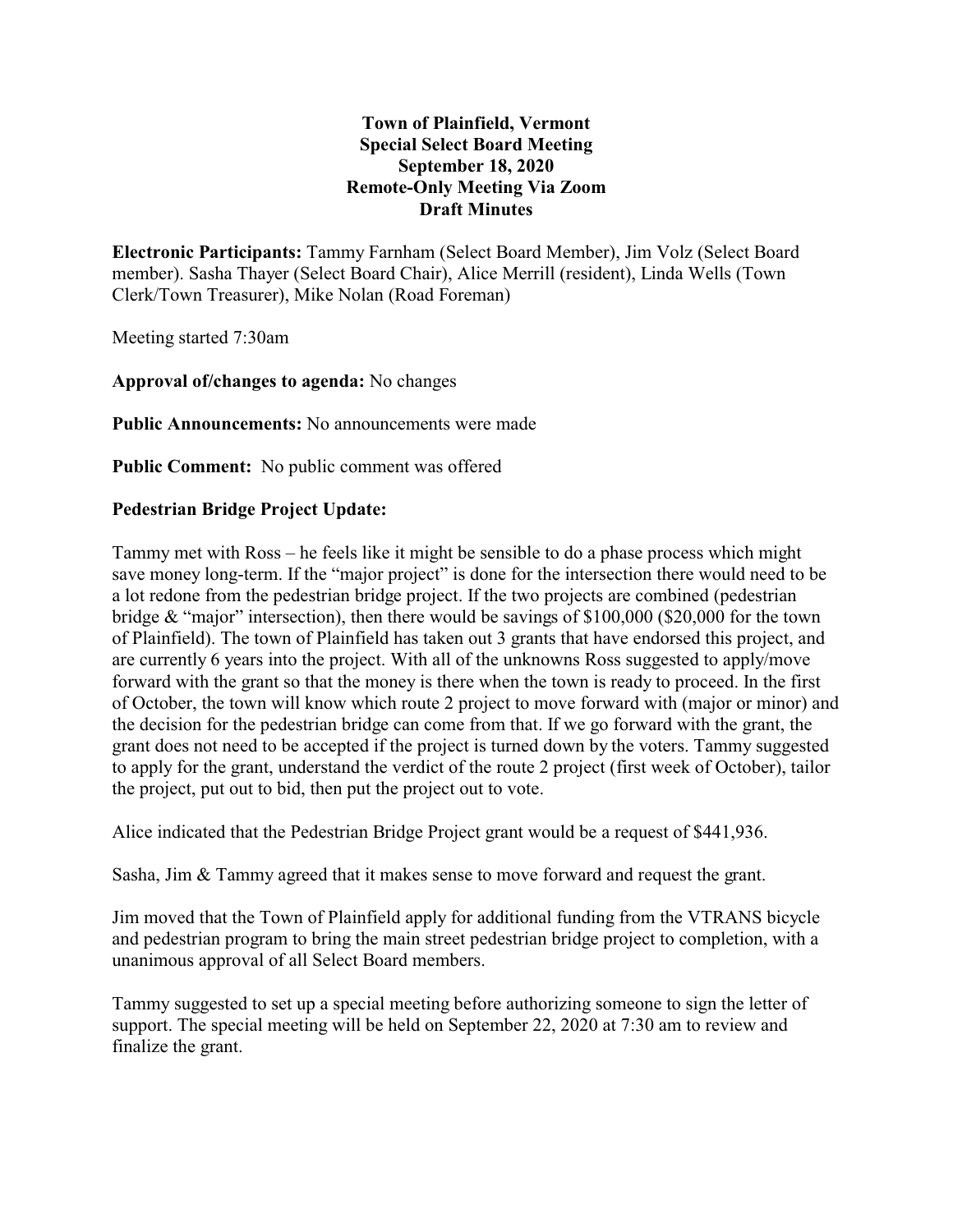## **Town of Plainfield, Vermont Special Select Board Meeting September 18, 2020 Remote-Only Meeting Via Zoom Draft Minutes**

**Electronic Participants:** Tammy Farnham (Select Board Member), Jim Volz (Select Board member). Sasha Thayer (Select Board Chair), Alice Merrill (resident), Linda Wells (Town Clerk/Town Treasurer), Mike Nolan (Road Foreman)

Meeting started 7:30am

**Approval of/changes to agenda:** No changes

**Public Announcements:** No announcements were made

**Public Comment:** No public comment was offered

### **Pedestrian Bridge Project Update:**

Tammy met with Ross – he feels like it might be sensible to do a phase process which might save money long-term. If the "major project" is done for the intersection there would need to be a lot redone from the pedestrian bridge project. If the two projects are combined (pedestrian bridge  $&$  "major" intersection), then there would be savings of \$100,000 (\$20,000 for the town of Plainfield). The town of Plainfield has taken out 3 grants that have endorsed this project, and are currently 6 years into the project. With all of the unknowns Ross suggested to apply/move forward with the grant so that the money is there when the town is ready to proceed. In the first of October, the town will know which route 2 project to move forward with (major or minor) and the decision for the pedestrian bridge can come from that. If we go forward with the grant, the grant does not need to be accepted if the project is turned down by the voters. Tammy suggested to apply for the grant, understand the verdict of the route 2 project (first week of October), tailor the project, put out to bid, then put the project out to vote.

Alice indicated that the Pedestrian Bridge Project grant would be a request of \$441,936.

Sasha, Jim & Tammy agreed that it makes sense to move forward and request the grant.

Jim moved that the Town of Plainfield apply for additional funding from the VTRANS bicycle and pedestrian program to bring the main street pedestrian bridge project to completion, with a unanimous approval of all Select Board members.

Tammy suggested to set up a special meeting before authorizing someone to sign the letter of support. The special meeting will be held on September 22, 2020 at 7:30 am to review and finalize the grant.